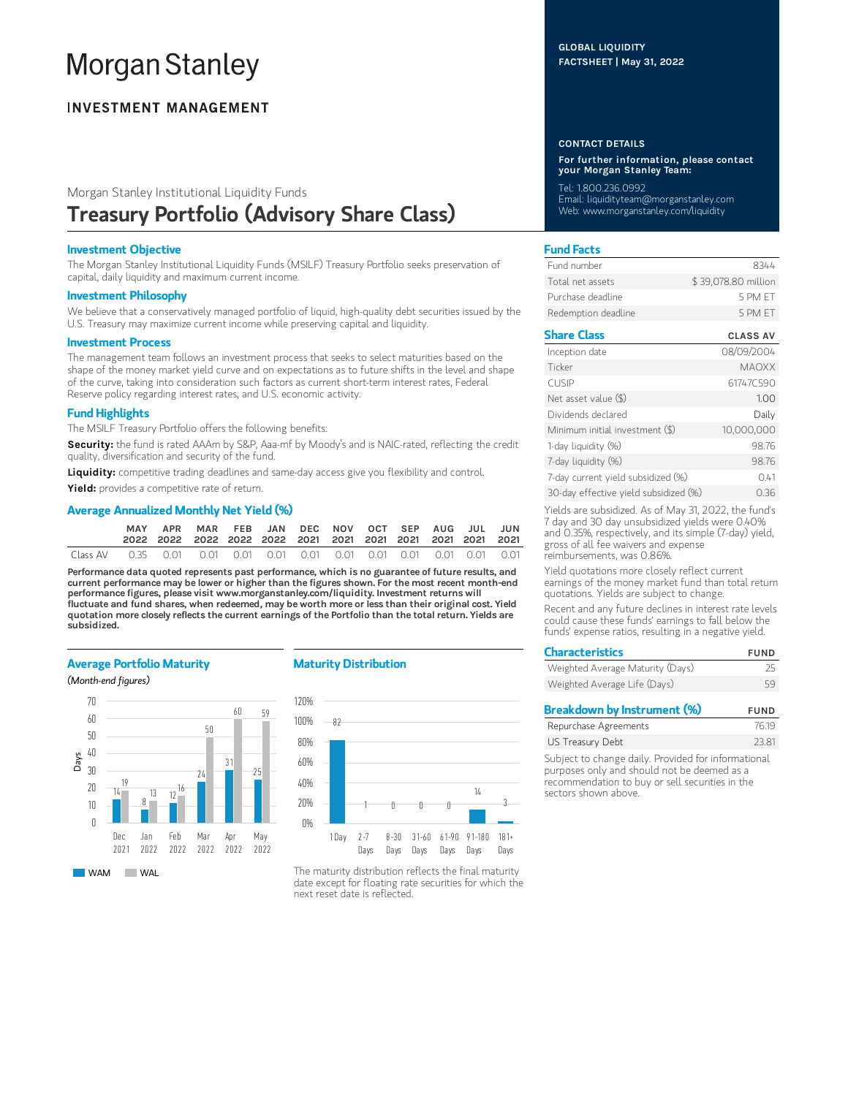# **Morgan Stanley**

# **INVESTMENT MANAGEMENT**

# Morgan Stanley Institutional Liquidity Funds Treasury Portfolio (Advisory Share Class)

## Investment Objective

The Morgan Stanley Institutional Liquidity Funds (MSILF) Treasury Portfolio seeks preservation of capital, daily liquidity and maximum current income.

#### Investment Philosophy

We believe that a conservatively managed portfolio of liquid, high-quality debt securities issued by the U.S. Treasury may maximize current income while preserving capital and liquidity.

#### Investment Process

The management team follows an investment process that seeks to select maturities based on the shape of the money market yield curve and on expectations as to future shifts in the level and shape of the curve, taking into consideration such factors as current short-term interest rates, Federal Reserve policy regarding interest rates, and U.S. economic activity.

# Fund Highlights

The MSILF Treasury Portfolio offers the following benefits:

Security: the fund is rated AAAm by S&P, Aaa-mf by Moody's and is NAIC-rated, reflecting the credit quality, diversification and security of the fund.

Liquidity: competitive trading deadlines and same-day access give you flexibility and control.

Yield: provides a competitive rate of return.

# Average Annualized Monthly Net Yield (%)

|                                                                                       | MAY | APR MAR FEB JAN DEC NOV OCT SEP AUG JUL JUN |  |  |  |  |  |
|---------------------------------------------------------------------------------------|-----|---------------------------------------------|--|--|--|--|--|
| Class AV   0.35   0.01   0.01   0.01   0.01   0.01   0.01   0.01   0.01   0.01   0.01 |     |                                             |  |  |  |  |  |

Performance data quoted represents past performance, which is no guarantee of future results, and current performance may be lower or higher than the figures shown. For the most recent month-end performance figures, please visit www.morganstanley.com/liquidity. Investment returns will fluctuate and fund shares, when redeemed, may be worth more or less than their original cost. Yield quotation more closely reflects the current earnings of the Portfolio than the total return. Yields are subsidized.

### Average Portfolio Maturity

(Month-end figures)



### Maturity Distribution



The maturity distribution reflects the final maturity date except for floating rate securities for which the next reset date is reflected.

## GLOBAL LIQUIDITY FACTSHEET | May 31, 2022

#### CONTACT DETAILS

For further information, please contact your Morgan Stanley Team:

Tel: 1.800.236.0992 Email: liquidityteam@morganstanley.com Web: www.morganstanley.com/liquidity

# Fund Facts

| Fund number         | 8344                |
|---------------------|---------------------|
| Total net assets    | \$39,078.80 million |
| Purchase deadline   | 5 PM FT             |
| Redemption deadline | 5 PM FT             |

# Share Class CLASS AV

| Inception date                        | 08/09/2004   |
|---------------------------------------|--------------|
| Ticker                                | <b>MAOXX</b> |
| <b>CUSIP</b>                          | 61747C590    |
| Net asset value (\$)                  | 1.00         |
| Dividends declared                    | Daily        |
| Minimum initial investment (\$)       | 10,000,000   |
| 1-day liquidity (%)                   | 98.76        |
| 7-day liquidity (%)                   | 98.76        |
| 7-day current yield subsidized (%)    | 0.41         |
| 30-day effective yield subsidized (%) | 0.36         |

Yields are subsidized. As of May 31, 2022, the fund's 7 day and 30 day unsubsidized yields were 0.40% and 0.35%, respectively, and its simple (7-day) yield, gross of all fee waivers and expense reimbursements, was 0.86%.

Yield quotations more closely reflect current earnings of the money market fund than total return quotations. Yields are subject to change.

Recent and any future declines in interest rate levels could cause these funds' earnings to fall below the funds' expense ratios, resulting in a negative yield.

| <b>Characteristics</b>           | <b>FUND</b> |
|----------------------------------|-------------|
| Weighted Average Maturity (Days) | 25          |
| Weighted Average Life (Days)     | 59          |
|                                  |             |

| Breakdown by Instrument (%) | <b>FUND</b> |
|-----------------------------|-------------|
| Repurchase Agreements       | 76.19       |
| US Treasury Debt            | 23.81       |
|                             |             |

Subject to change daily. Provided for informational purposes only and should not be deemed as a recommendation to buy or sell securities in the sectors shown above.